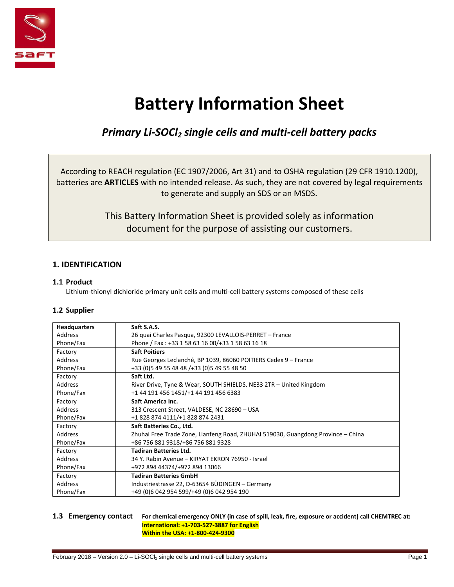

# **Battery Information Sheet**

# *Primary Li-SOCl<sup>2</sup> single cells and multi-cell battery packs*

According to REACH regulation (EC 1907/2006, Art 31) and to OSHA regulation (29 CFR 1910.1200), batteries are **ARTICLES** with no intended release. As such, they are not covered by legal requirements to generate and supply an SDS or an MSDS.

> This Battery Information Sheet is provided solely as information document for the purpose of assisting our customers.

# **1. IDENTIFICATION**

# **1.1 Product**

Lithium-thionyl dichloride primary unit cells and multi-cell battery systems composed of these cells

# **1.2 Supplier**

| <b>Headquarters</b> | Saft S.A.S.                                                                      |
|---------------------|----------------------------------------------------------------------------------|
| Address             | 26 quai Charles Pasqua, 92300 LEVALLOIS-PERRET - France                          |
| Phone/Fax           | Phone / Fax: +33 1 58 63 16 00/+33 1 58 63 16 18                                 |
| Factory             | <b>Saft Poitiers</b>                                                             |
| Address             | Rue Georges Leclanché, BP 1039, 86060 POITIERS Cedex 9 - France                  |
| Phone/Fax           | +33 (0) 5 49 55 48 48 / + 33 (0) 5 49 55 48 50                                   |
| Factory             | Saft Ltd.                                                                        |
| Address             | River Drive, Tyne & Wear, SOUTH SHIELDS, NE33 2TR - United Kingdom               |
| Phone/Fax           | +1 44 191 456 1451/+1 44 191 456 6383                                            |
| Factory             | Saft America Inc.                                                                |
| Address             | 313 Crescent Street, VALDESE, NC 28690 - USA                                     |
| Phone/Fax           | +1 828 874 4111/+1 828 874 2431                                                  |
| Factory             | Saft Batteries Co., Ltd.                                                         |
| Address             | Zhuhai Free Trade Zone, Lianfeng Road, ZHUHAI 519030, Guangdong Province - China |
| Phone/Fax           | +86 756 881 9318/+86 756 881 9328                                                |
| Factory             | <b>Tadiran Batteries Ltd.</b>                                                    |
| Address             | 34 Y. Rabin Avenue – KIRYAT EKRON 76950 - Israel                                 |
| Phone/Fax           | +972 894 44374/+972 894 13066                                                    |
| Factory             | <b>Tadiran Batteries GmbH</b>                                                    |
| Address             | Industriestrasse 22, D-63654 BÜDINGEN - Germany                                  |
| Phone/Fax           | +49 (0)6 042 954 599/+49 (0)6 042 954 190                                        |

#### **1.3 Emergency contact For chemical emergency ONLY (in case of spill, leak, fire, exposure or accident) call CHEMTREC at: International: +1-703-527-3887 for English Within the USA: +1-800-424-9300**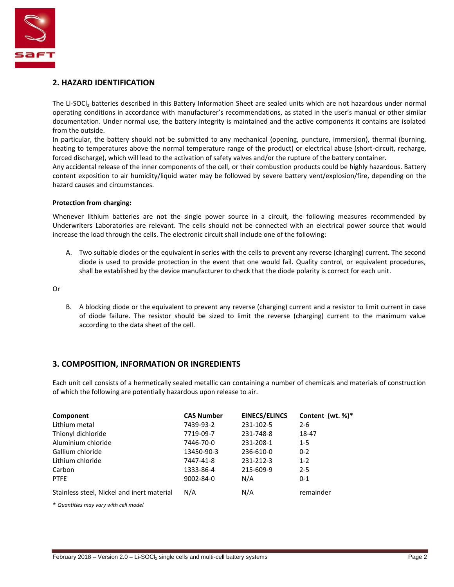

# **2. HAZARD IDENTIFICATION**

The Li-SOCI<sub>2</sub> batteries described in this Battery Information Sheet are sealed units which are not hazardous under normal operating conditions in accordance with manufacturer's recommendations, as stated in the user's manual or other similar documentation. Under normal use, the battery integrity is maintained and the active components it contains are isolated from the outside.

In particular, the battery should not be submitted to any mechanical (opening, puncture, immersion), thermal (burning, heating to temperatures above the normal temperature range of the product) or electrical abuse (short-circuit, recharge, forced discharge), which will lead to the activation of safety valves and/or the rupture of the battery container.

Any accidental release of the inner components of the cell, or their combustion products could be highly hazardous. Battery content exposition to air humidity/liquid water may be followed by severe battery vent/explosion/fire, depending on the hazard causes and circumstances.

#### **Protection from charging:**

Whenever lithium batteries are not the single power source in a circuit, the following measures recommended by Underwriters Laboratories are relevant. The cells should not be connected with an electrical power source that would increase the load through the cells. The electronic circuit shall include one of the following:

A. Two suitable diodes or the equivalent in series with the cells to prevent any reverse (charging) current. The second diode is used to provide protection in the event that one would fail. Quality control, or equivalent procedures, shall be established by the device manufacturer to check that the diode polarity is correct for each unit.

Or

B. A blocking diode or the equivalent to prevent any reverse (charging) current and a resistor to limit current in case of diode failure. The resistor should be sized to limit the reverse (charging) current to the maximum value according to the data sheet of the cell.

# **3. COMPOSITION, INFORMATION OR INGREDIENTS**

Each unit cell consists of a hermetically sealed metallic can containing a number of chemicals and materials of construction of which the following are potentially hazardous upon release to air.

| Component                                  | <b>CAS Number</b> | <b>EINECS/ELINCS</b> | Content (wt. $\%$ )* |
|--------------------------------------------|-------------------|----------------------|----------------------|
| Lithium metal                              | 7439-93-2         | 231-102-5            | $2 - 6$              |
| Thionyl dichloride                         | 7719-09-7         | 231-748-8            | 18-47                |
| Aluminium chloride                         | 7446-70-0         | 231-208-1            | $1 - 5$              |
| Gallium chloride                           | 13450-90-3        | 236-610-0            | $0 - 2$              |
| Lithium chloride                           | 7447-41-8         | 231-212-3            | $1 - 2$              |
| Carbon                                     | 1333-86-4         | 215-609-9            | $2 - 5$              |
| <b>PTFE</b>                                | 9002-84-0         | N/A                  | $0 - 1$              |
| Stainless steel, Nickel and inert material | N/A               | N/A                  | remainder            |

*\* Quantities may vary with cell model*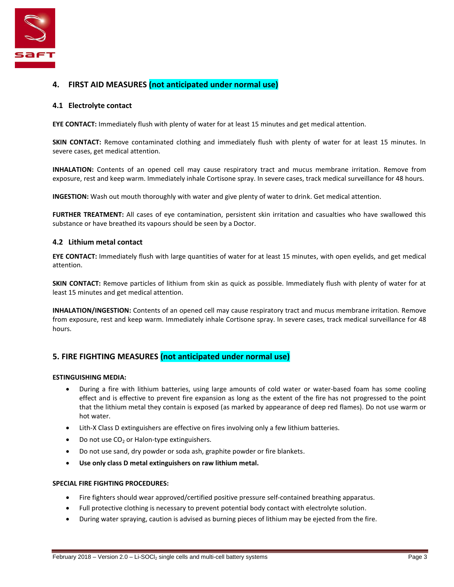

# **4. FIRST AID MEASURES (not anticipated under normal use)**

#### **4.1 Electrolyte contact**

**EYE CONTACT:** Immediately flush with plenty of water for at least 15 minutes and get medical attention.

**SKIN CONTACT:** Remove contaminated clothing and immediately flush with plenty of water for at least 15 minutes. In severe cases, get medical attention.

**INHALATION:** Contents of an opened cell may cause respiratory tract and mucus membrane irritation. Remove from exposure, rest and keep warm. Immediately inhale Cortisone spray. In severe cases, track medical surveillance for 48 hours.

**INGESTION:** Wash out mouth thoroughly with water and give plenty of water to drink. Get medical attention.

**FURTHER TREATMENT:** All cases of eye contamination, persistent skin irritation and casualties who have swallowed this substance or have breathed its vapours should be seen by a Doctor.

#### **4.2 Lithium metal contact**

**EYE CONTACT:** Immediately flush with large quantities of water for at least 15 minutes, with open eyelids, and get medical attention.

**SKIN CONTACT:** Remove particles of lithium from skin as quick as possible. Immediately flush with plenty of water for at least 15 minutes and get medical attention.

**INHALATION/INGESTION:** Contents of an opened cell may cause respiratory tract and mucus membrane irritation. Remove from exposure, rest and keep warm. Immediately inhale Cortisone spray. In severe cases, track medical surveillance for 48 hours.

# **5. FIRE FIGHTING MEASURES (not anticipated under normal use)**

#### **ESTINGUISHING MEDIA:**

- During a fire with lithium batteries, using large amounts of cold water or water-based foam has some cooling effect and is effective to prevent fire expansion as long as the extent of the fire has not progressed to the point that the lithium metal they contain is exposed (as marked by appearance of deep red flames). Do not use warm or hot water.
- Lith-X Class D extinguishers are effective on fires involving only a few lithium batteries.
- $\bullet$  Do not use CO<sub>2</sub> or Halon-type extinguishers.
- Do not use sand, dry powder or soda ash, graphite powder or fire blankets.
- **Use only class D metal extinguishers on raw lithium metal.**

#### **SPECIAL FIRE FIGHTING PROCEDURES:**

- Fire fighters should wear approved/certified positive pressure self-contained breathing apparatus.
- Full protective clothing is necessary to prevent potential body contact with electrolyte solution.
- During water spraying, caution is advised as burning pieces of lithium may be ejected from the fire.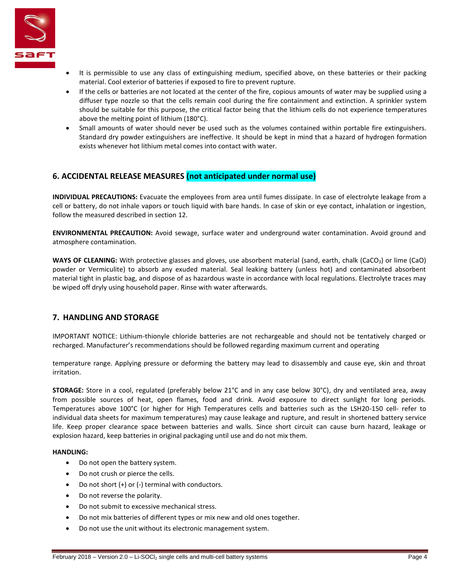

- It is permissible to use any class of extinguishing medium, specified above, on these batteries or their packing material. Cool exterior of batteries if exposed to fire to prevent rupture.
- If the cells or batteries are not located at the center of the fire, copious amounts of water may be supplied using a diffuser type nozzle so that the cells remain cool during the fire containment and extinction. A sprinkler system should be suitable for this purpose, the critical factor being that the lithium cells do not experience temperatures above the melting point of lithium (180°C).
- Small amounts of water should never be used such as the volumes contained within portable fire extinguishers. Standard dry powder extinguishers are ineffective. It should be kept in mind that a hazard of hydrogen formation exists whenever hot lithium metal comes into contact with water.

# **6. ACCIDENTAL RELEASE MEASURES (not anticipated under normal use)**

**INDIVIDUAL PRECAUTIONS:** Evacuate the employees from area until fumes dissipate. In case of electrolyte leakage from a cell or battery, do not inhale vapors or touch liquid with bare hands. In case of skin or eye contact, inhalation or ingestion, follow the measured described in section 12.

**ENVIRONMENTAL PRECAUTION:** Avoid sewage, surface water and underground water contamination. Avoid ground and atmosphere contamination.

**WAYS OF CLEANING:** With protective glasses and gloves, use absorbent material (sand, earth, chalk (CaCO<sub>3</sub>) or lime (CaO) powder or Vermiculite) to absorb any exuded material. Seal leaking battery (unless hot) and contaminated absorbent material tight in plastic bag, and dispose of as hazardous waste in accordance with local regulations. Electrolyte traces may be wiped off dryly using household paper. Rinse with water afterwards.

# **7. HANDLING AND STORAGE**

IMPORTANT NOTICE: Lithium-thionyle chloride batteries are not rechargeable and should not be tentatively charged or recharged. Manufacturer's recommendations should be followed regarding maximum current and operating

temperature range. Applying pressure or deforming the battery may lead to disassembly and cause eye, skin and throat irritation.

**STORAGE:** Store in a cool, regulated (preferably below 21°C and in any case below 30°C), dry and ventilated area, away from possible sources of heat, open flames, food and drink. Avoid exposure to direct sunlight for long periods. Temperatures above 100°C (or higher for High Temperatures cells and batteries such as the LSH20-150 cell- refer to individual data sheets for maximum temperatures) may cause leakage and rupture, and result in shortened battery service life. Keep proper clearance space between batteries and walls. Since short circuit can cause burn hazard, leakage or explosion hazard, keep batteries in original packaging until use and do not mix them.

#### **HANDLING:**

- Do not open the battery system.
- Do not crush or pierce the cells.
- Do not short (+) or (-) terminal with conductors.
- Do not reverse the polarity.
- Do not submit to excessive mechanical stress.
- Do not mix batteries of different types or mix new and old ones together.
- Do not use the unit without its electronic management system.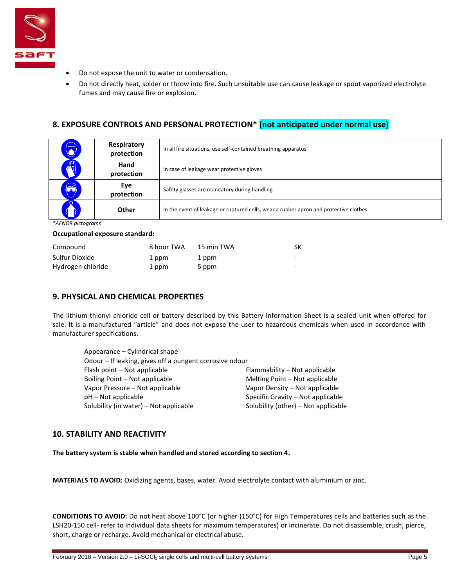

- Do not expose the unit to water or condensation.
- Do not directly heat, solder or throw into fire. Such unsuitable use can cause leakage or spout vaporized electrolyte fumes and may cause fire or explosion.

# **8. EXPOSURE CONTROLS AND PERSONAL PROTECTION\* (not anticipated under normal use)**

| $\bigcirc$ | Respiratory<br>protection | In all fire situations, use self-contained breathing apparatus                         |
|------------|---------------------------|----------------------------------------------------------------------------------------|
|            | Hand<br>protection        | In case of leakage wear protective gloves                                              |
| $\bigcirc$ | Eye<br>protection         | Safety glasses are mandatory during handling                                           |
|            | Other                     | In the event of leakage or ruptured cells, wear a rubber apron and protective clothes. |

*\*AFNOR pictograms*

#### **Occupational exposure standard:**

| Compound          | 8 hour TWA | 15 min TWA | SK  |
|-------------------|------------|------------|-----|
| Sulfur Dioxide    | 1 ppm      | 1 ppm      | - - |
| Hydrogen chloride | 1 ppm      | 5 ppm      | -   |

#### **9. PHYSICAL AND CHEMICAL PROPERTIES**

The lithium-thionyl chloride cell or battery described by this Battery Information Sheet is a sealed unit when offered for sale. It is a manufactured "article" and does not expose the user to hazardous chemicals when used in accordance with manufacturer specifications.

| Appearance – Cylindrical shape                          |                                     |
|---------------------------------------------------------|-------------------------------------|
| Odour - If leaking, gives off a pungent corrosive odour |                                     |
| Flash point - Not applicable                            | Flammability – Not applicable       |
| Boiling Point – Not applicable                          | Melting Point - Not applicable      |
| Vapor Pressure – Not applicable                         | Vapor Density - Not applicable      |
| pH – Not applicable                                     | Specific Gravity – Not applicable   |
| Solubility (in water) - Not applicable                  | Solubility (other) - Not applicable |

#### **10. STABILITY AND REACTIVITY**

**The battery system is stable when handled and stored according to section 4.**

**MATERIALS TO AVOID:** Oxidizing agents, bases, water. Avoid electrolyte contact with aluminium or zinc.

**CONDITIONS TO AVOID:** Do not heat above 100°C (or higher (150°C) for High Temperatures cells and batteries such as the LSH20-150 cell- refer to individual data sheets for maximum temperatures) or incinerate. Do not disassemble, crush, pierce, short, charge or recharge. Avoid mechanical or electrical abuse.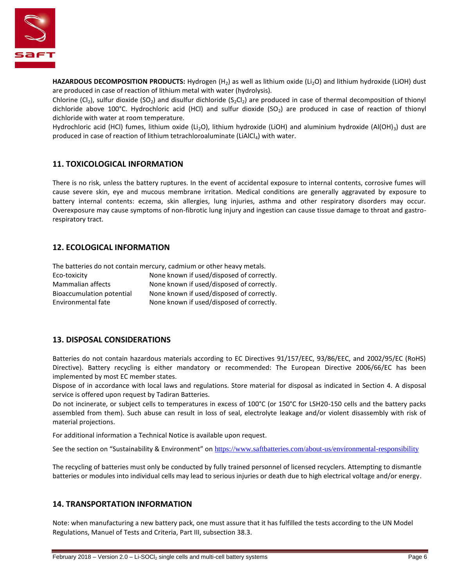

**HAZARDOUS DECOMPOSITION PRODUCTS:** Hydrogen (H<sub>2</sub>) as well as lithium oxide (Li<sub>2</sub>O) and lithium hydroxide (LiOH) dust are produced in case of reaction of lithium metal with water (hydrolysis).

Chlorine (Cl<sub>2</sub>), sulfur dioxide (SO<sub>2</sub>) and disulfur dichloride (S<sub>2</sub>Cl<sub>2</sub>) are produced in case of thermal decomposition of thionyl dichloride above 100°C. Hydrochloric acid (HCl) and sulfur dioxide (SO<sub>2</sub>) are produced in case of reaction of thionyl dichloride with water at room temperature.

Hydrochloric acid (HCl) fumes, lithium oxide (Li<sub>2</sub>O), lithium hydroxide (LiOH) and aluminium hydroxide (Al(OH)<sub>3</sub>) dust are produced in case of reaction of lithium tetrachloroaluminate (LiAlCl<sub>4</sub>) with water.

# **11. TOXICOLOGICAL INFORMATION**

There is no risk, unless the battery ruptures. In the event of accidental exposure to internal contents, corrosive fumes will cause severe skin, eye and mucous membrane irritation. Medical conditions are generally aggravated by exposure to battery internal contents: eczema, skin allergies, lung injuries, asthma and other respiratory disorders may occur. Overexposure may cause symptoms of non-fibrotic lung injury and ingestion can cause tissue damage to throat and gastrorespiratory tract.

# **12. ECOLOGICAL INFORMATION**

The batteries do not contain mercury, cadmium or other heavy metals.

| Eco-toxicity              | None known if used/disposed of correctly. |
|---------------------------|-------------------------------------------|
| Mammalian affects         | None known if used/disposed of correctly. |
| Bioaccumulation potential | None known if used/disposed of correctly. |
| Environmental fate        | None known if used/disposed of correctly. |

#### **13. DISPOSAL CONSIDERATIONS**

Batteries do not contain hazardous materials according to EC Directives 91/157/EEC, 93/86/EEC, and 2002/95/EC (RoHS) Directive). Battery recycling is either mandatory or recommended: The European Directive 2006/66/EC has been implemented by most EC member states.

Dispose of in accordance with local laws and regulations. Store material for disposal as indicated in Section 4. A disposal service is offered upon request by Tadiran Batteries.

Do not incinerate, or subject cells to temperatures in excess of 100°C (or 150°C for LSH20-150 cells and the battery packs assembled from them). Such abuse can result in loss of seal, electrolyte leakage and/or violent disassembly with risk of material projections.

For additional information a Technical Notice is available upon request.

See the section on "Sustainability & Environment" on <https://www.saftbatteries.com/about-us/environmental-responsibility>

The recycling of batteries must only be conducted by fully trained personnel of licensed recyclers. Attempting to dismantle batteries or modules into individual cells may lead to serious injuries or death due to high electrical voltage and/or energy.

#### **14. TRANSPORTATION INFORMATION**

Note: when manufacturing a new battery pack, one must assure that it has fulfilled the tests according to the UN Model Regulations, Manuel of Tests and Criteria, Part III, subsection 38.3.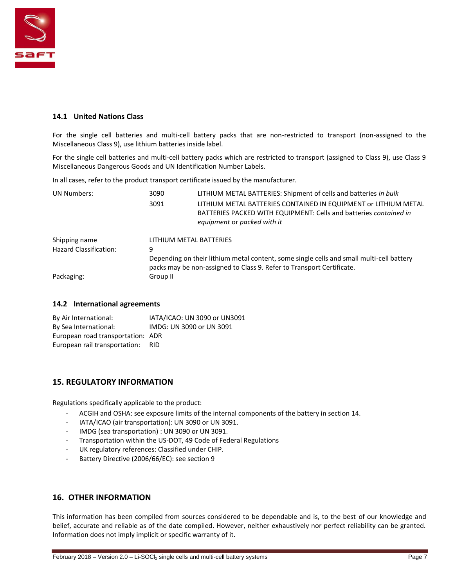

#### **14.1 United Nations Class**

For the single cell batteries and multi-cell battery packs that are non-restricted to transport (non-assigned to the Miscellaneous Class 9), use lithium batteries inside label.

For the single cell batteries and multi-cell battery packs which are restricted to transport (assigned to Class 9), use Class 9 Miscellaneous Dangerous Goods and UN Identification Number Labels.

In all cases, refer to the product transport certificate issued by the manufacturer.

| <b>UN Numbers:</b>            | 3090                                                                                                                                                              | LITHIUM METAL BATTERIES: Shipment of cells and batteries in bulk                                                                                                    |  |
|-------------------------------|-------------------------------------------------------------------------------------------------------------------------------------------------------------------|---------------------------------------------------------------------------------------------------------------------------------------------------------------------|--|
|                               | 3091                                                                                                                                                              | LITHIUM METAL BATTERIES CONTAINED IN EQUIPMENT OF LITHIUM METAL<br>BATTERIES PACKED WITH EQUIPMENT: Cells and batteries contained in<br>equipment or packed with it |  |
| Shipping name                 |                                                                                                                                                                   | LITHIUM METAL BATTERIES                                                                                                                                             |  |
| <b>Hazard Classification:</b> | 9                                                                                                                                                                 |                                                                                                                                                                     |  |
|                               | Depending on their lithium metal content, some single cells and small multi-cell battery<br>packs may be non-assigned to Class 9. Refer to Transport Certificate. |                                                                                                                                                                     |  |
| Packaging:                    | Group II                                                                                                                                                          |                                                                                                                                                                     |  |

#### **14.2 International agreements**

| By Air International:             | IATA/ICAO: UN 3090 or UN3091 |
|-----------------------------------|------------------------------|
| By Sea International:             | IMDG: UN 3090 or UN 3091     |
| European road transportation: ADR |                              |
| European rail transportation:     | RID.                         |

# **15. REGULATORY INFORMATION**

Regulations specifically applicable to the product:

- ACGIH and OSHA: see exposure limits of the internal components of the battery in section 14.
- IATA/ICAO (air transportation): UN 3090 or UN 3091.
- IMDG (sea transportation) : UN 3090 or UN 3091.
- Transportation within the US-DOT, 49 Code of Federal Regulations
- UK regulatory references: Classified under CHIP.
- Battery Directive (2006/66/EC): see section 9

# **16. OTHER INFORMATION**

This information has been compiled from sources considered to be dependable and is, to the best of our knowledge and belief, accurate and reliable as of the date compiled. However, neither exhaustively nor perfect reliability can be granted. Information does not imply implicit or specific warranty of it.